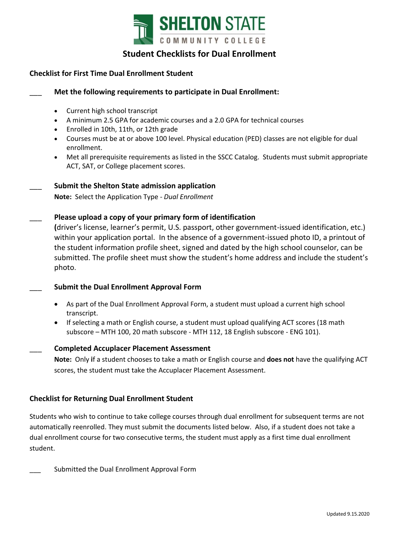

# **Student Checklists for Dual Enrollment**

# **Checklist for First Time Dual Enrollment Student**

## \_\_\_ **Met the following requirements to participate in Dual Enrollment:**

- Current high school transcript
- A minimum 2.5 GPA for academic courses and a 2.0 GPA for technical courses
- Enrolled in 10th, 11th, or 12th grade
- Courses must be at or above 100 level. Physical education (PED) classes are not eligible for dual enrollment.
- Met all prerequisite requirements as listed in the [SSCC Catalog.](http://catalog.sheltonstate.edu/content.php?catoid=13&navoid=366) Students must submit appropriate ACT, SAT, or College placement scores.

### \_\_\_ **Submit the Shelton State admission application**

**Note:** Select the Application Type - *Dual Enrollment* 

## \_\_\_ **Please upload a copy of your primary form of identification**

**(**driver's license, learner's permit, U.S. passport, other government-issued identification, etc.) within your application portal. In the absence of a government-issued photo ID, a printout of the student information profile sheet, signed and dated by the high school counselor, can be submitted. The profile sheet must show the student's home address and include the student's photo.

### \_\_\_ **Submit the Dual Enrollment Approval Form**

- As part of the Dual Enrollment Approval Form, a student must upload a current high school transcript.
- If selecting a math or English course, a student must upload qualifying ACT scores (18 math subscore – MTH 100, 20 math subscore - MTH 112, 18 English subscore - ENG 101).

### \_\_\_ **Completed Accuplacer Placement Assessment**

**Note:** Only **i**f a student chooses to take a math or English course and **does not** have the qualifying ACT scores, the student must take the Accuplacer Placement Assessment.

# **Checklist for Returning Dual Enrollment Student**

Students who wish to continue to take college courses through dual enrollment for subsequent terms are not automatically reenrolled. They must submit the documents listed below. Also, if a student does not take a dual enrollment course for two consecutive terms, the student must apply as a first time dual enrollment student.

\_\_\_ Submitted the Dual Enrollment Approval Form